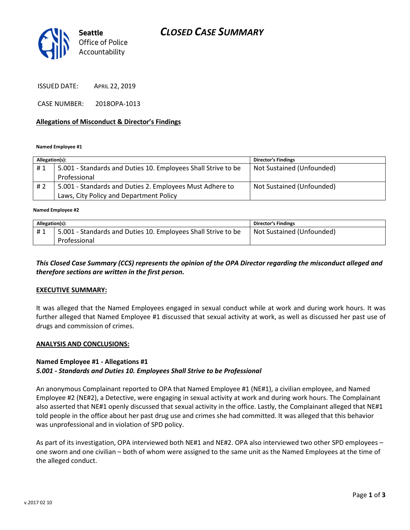

ISSUED DATE: APRIL 22, 2019

CASE NUMBER: 2018OPA-1013

### Allegations of Misconduct & Director's Findings

Named Employee #1

| Allegation(s): |                                                               | <b>Director's Findings</b> |
|----------------|---------------------------------------------------------------|----------------------------|
| #1             | 5.001 - Standards and Duties 10. Employees Shall Strive to be | Not Sustained (Unfounded)  |
|                | Professional                                                  |                            |
| #2             | 5.001 - Standards and Duties 2. Employees Must Adhere to      | Not Sustained (Unfounded)  |
|                | Laws, City Policy and Department Policy                       |                            |
|                |                                                               |                            |

Named Employee #2

| Allegation(s): |                                                               | <b>Director's Findings</b> |
|----------------|---------------------------------------------------------------|----------------------------|
| #1             | 5.001 - Standards and Duties 10. Employees Shall Strive to be | Not Sustained (Unfounded)  |
|                | Professional                                                  |                            |

## This Closed Case Summary (CCS) represents the opinion of the OPA Director regarding the misconduct alleged and therefore sections are written in the first person.

### EXECUTIVE SUMMARY:

It was alleged that the Named Employees engaged in sexual conduct while at work and during work hours. It was further alleged that Named Employee #1 discussed that sexual activity at work, as well as discussed her past use of drugs and commission of crimes.

### ANALYSIS AND CONCLUSIONS:

### Named Employee #1 - Allegations #1

### 5.001 - Standards and Duties 10. Employees Shall Strive to be Professional

An anonymous Complainant reported to OPA that Named Employee #1 (NE#1), a civilian employee, and Named Employee #2 (NE#2), a Detective, were engaging in sexual activity at work and during work hours. The Complainant also asserted that NE#1 openly discussed that sexual activity in the office. Lastly, the Complainant alleged that NE#1 told people in the office about her past drug use and crimes she had committed. It was alleged that this behavior was unprofessional and in violation of SPD policy.

As part of its investigation, OPA interviewed both NE#1 and NE#2. OPA also interviewed two other SPD employees – one sworn and one civilian – both of whom were assigned to the same unit as the Named Employees at the time of the alleged conduct.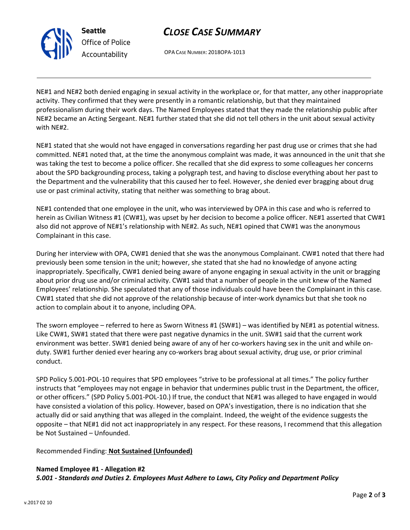

Seattle Office of Police Accountability

# CLOSE CASE SUMMARY

OPA CASE NUMBER: 2018OPA-1013

NE#1 and NE#2 both denied engaging in sexual activity in the workplace or, for that matter, any other inappropriate activity. They confirmed that they were presently in a romantic relationship, but that they maintained professionalism during their work days. The Named Employees stated that they made the relationship public after NE#2 became an Acting Sergeant. NE#1 further stated that she did not tell others in the unit about sexual activity with NE#2.

NE#1 stated that she would not have engaged in conversations regarding her past drug use or crimes that she had committed. NE#1 noted that, at the time the anonymous complaint was made, it was announced in the unit that she was taking the test to become a police officer. She recalled that she did express to some colleagues her concerns about the SPD backgrounding process, taking a polygraph test, and having to disclose everything about her past to the Department and the vulnerability that this caused her to feel. However, she denied ever bragging about drug use or past criminal activity, stating that neither was something to brag about.

NE#1 contended that one employee in the unit, who was interviewed by OPA in this case and who is referred to herein as Civilian Witness #1 (CW#1), was upset by her decision to become a police officer. NE#1 asserted that CW#1 also did not approve of NE#1's relationship with NE#2. As such, NE#1 opined that CW#1 was the anonymous Complainant in this case.

During her interview with OPA, CW#1 denied that she was the anonymous Complainant. CW#1 noted that there had previously been some tension in the unit; however, she stated that she had no knowledge of anyone acting inappropriately. Specifically, CW#1 denied being aware of anyone engaging in sexual activity in the unit or bragging about prior drug use and/or criminal activity. CW#1 said that a number of people in the unit knew of the Named Employees' relationship. She speculated that any of those individuals could have been the Complainant in this case. CW#1 stated that she did not approve of the relationship because of inter-work dynamics but that she took no action to complain about it to anyone, including OPA.

The sworn employee – referred to here as Sworn Witness #1 (SW#1) – was identified by NE#1 as potential witness. Like CW#1, SW#1 stated that there were past negative dynamics in the unit. SW#1 said that the current work environment was better. SW#1 denied being aware of any of her co-workers having sex in the unit and while onduty. SW#1 further denied ever hearing any co-workers brag about sexual activity, drug use, or prior criminal conduct.

SPD Policy 5.001-POL-10 requires that SPD employees "strive to be professional at all times." The policy further instructs that "employees may not engage in behavior that undermines public trust in the Department, the officer, or other officers." (SPD Policy 5.001-POL-10.) If true, the conduct that NE#1 was alleged to have engaged in would have consisted a violation of this policy. However, based on OPA's investigation, there is no indication that she actually did or said anything that was alleged in the complaint. Indeed, the weight of the evidence suggests the opposite – that NE#1 did not act inappropriately in any respect. For these reasons, I recommend that this allegation be Not Sustained – Unfounded.

Recommended Finding: Not Sustained (Unfounded)

# Named Employee #1 - Allegation #2

5.001 - Standards and Duties 2. Employees Must Adhere to Laws, City Policy and Department Policy